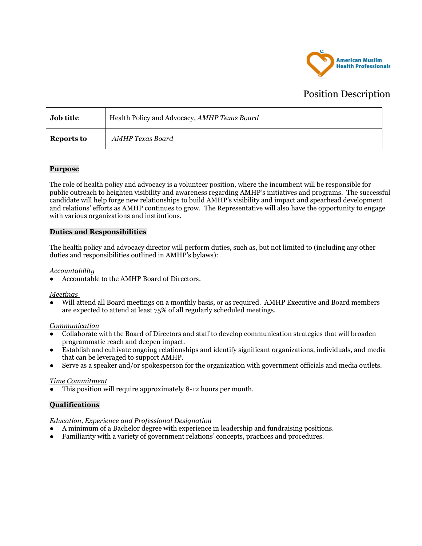

# Position Description

| <b>Job title</b> | Health Policy and Advocacy, AMHP Texas Board |
|------------------|----------------------------------------------|
| Reports to       | AMHP Texas Board                             |

## **Purpose**

The role of health policy and advocacy is a volunteer position, where the incumbent will be responsible for public outreach to heighten visibility and awareness regarding AMHP's initiatives and programs. The successful candidate will help forge new relationships to build AMHP's visibility and impact and spearhead development and relations' efforts as AMHP continues to grow. The Representative will also have the opportunity to engage with various organizations and institutions.

## **Duties and Responsibilities**

The health policy and advocacy director will perform duties, such as, but not limited to (including any other duties and responsibilities outlined in AMHP's bylaws):

### *Accountability*

Accountable to the AMHP Board of Directors.

#### *Meetings*

Will attend all Board meetings on a monthly basis, or as required. AMHP Executive and Board members are expected to attend at least 75% of all regularly scheduled meetings.

#### *Communication*

- Collaborate with the Board of Directors and staff to develop communication strategies that will broaden programmatic reach and deepen impact.
- Establish and cultivate ongoing relationships and identify significant organizations, individuals, and media that can be leveraged to support AMHP.
- Serve as a speaker and/or spokesperson for the organization with government officials and media outlets.

#### *Time Commitment*

This position will require approximately 8-12 hours per month.

## **Qualifications**

*Education, Experience and Professional Designation*

- A minimum of a Bachelor degree with experience in leadership and fundraising positions.
- Familiarity with a variety of government relations' concepts, practices and procedures.